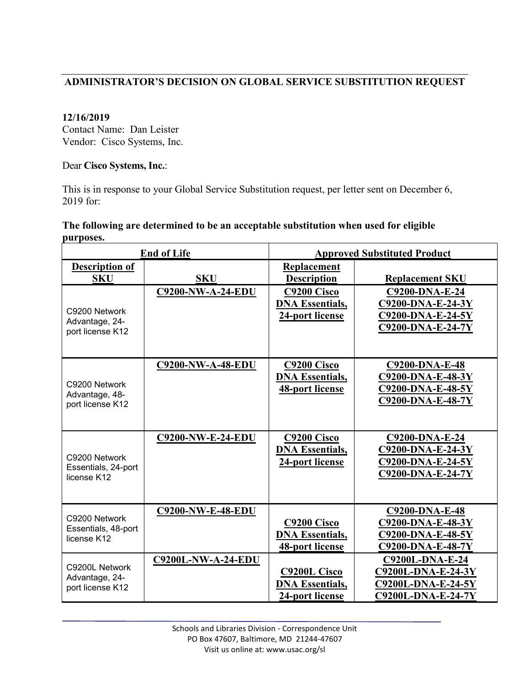# **ADMINISTRATOR'S DECISION ON GLOBAL SERVICE SUBSTITUTION REQUEST**

## **12/16/2019**

Contact Name: Dan Leister Vendor: Cisco Systems, Inc.

### Dear **Cisco Systems, Inc.**:

This is in response to your Global Service Substitution request, per letter sent on December 6, 2019 for:

#### **The following are determined to be an acceptable substitution when used for eligible purposes.**

| <b>End of Life</b>                                   |                           | <b>Approved Substituted Product</b>                              |                                                                                                 |  |
|------------------------------------------------------|---------------------------|------------------------------------------------------------------|-------------------------------------------------------------------------------------------------|--|
| <b>Description of</b><br><b>SKU</b>                  | <b>SKU</b>                | Replacement<br><b>Description</b>                                | <b>Replacement SKU</b>                                                                          |  |
| C9200 Network<br>Advantage, 24-<br>port license K12  | <b>C9200-NW-A-24-EDU</b>  | C9200 Cisco<br><b>DNA Essentials,</b><br>24-port license         | C9200-DNA-E-24<br>C9200-DNA-E-24-3Y<br>C9200-DNA-E-24-5Y<br>C9200-DNA-E-24-7Y                   |  |
| C9200 Network<br>Advantage, 48-<br>port license K12  | <b>C9200-NW-A-48-EDU</b>  | C9200 Cisco<br><b>DNA Essentials,</b><br>48-port license         | <b>C9200-DNA-E-48</b><br>C9200-DNA-E-48-3Y<br>C9200-DNA-E-48-5Y<br>C9200-DNA-E-48-7Y            |  |
| C9200 Network<br>Essentials, 24-port<br>license K12  | <b>C9200-NW-E-24-EDU</b>  | C9200 Cisco<br><b>DNA Essentials,</b><br>24-port license         | C9200-DNA-E-24<br>C9200-DNA-E-24-3Y<br>C9200-DNA-E-24-5Y<br>C9200-DNA-E-24-7Y                   |  |
| C9200 Network<br>Essentials, 48-port<br>license K12  | <b>C9200-NW-E-48-EDU</b>  | C9200 Cisco<br><b>DNA Essentials,</b><br>48-port license         | <b>C9200-DNA-E-48</b><br>C9200-DNA-E-48-3Y<br>C9200-DNA-E-48-5Y<br>C9200-DNA-E-48-7Y            |  |
| C9200L Network<br>Advantage, 24-<br>port license K12 | <b>C9200L-NW-A-24-EDU</b> | <b>C9200L Cisco</b><br><b>DNA Essentials,</b><br>24-port license | <b>C9200L-DNA-E-24</b><br>C9200L-DNA-E-24-3Y<br>C9200L-DNA-E-24-5Y<br><b>C9200L-DNA-E-24-7Y</b> |  |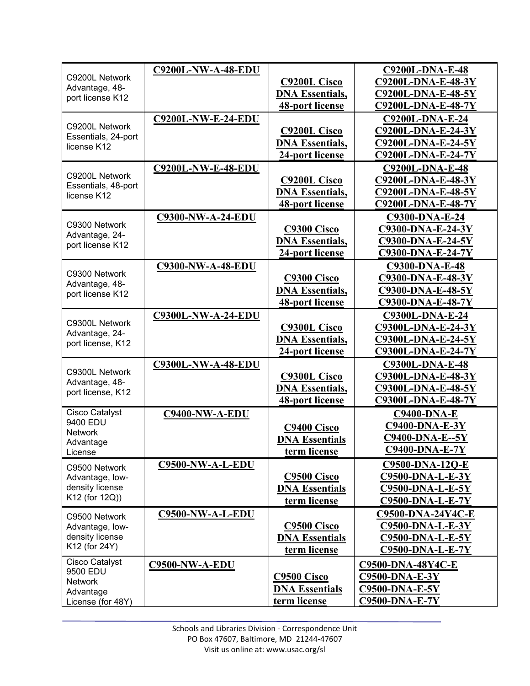|                                     | <b>C9200L-NW-A-48-EDU</b> |                         | C9200L-DNA-E-48          |
|-------------------------------------|---------------------------|-------------------------|--------------------------|
| C9200L Network                      |                           | <b>C9200L Cisco</b>     | C9200L-DNA-E-48-3Y       |
| Advantage, 48-<br>port license K12  |                           | <b>DNA Essentials,</b>  | C9200L-DNA-E-48-5Y       |
|                                     |                           | <b>48-port license</b>  | C9200L-DNA-E-48-7Y       |
|                                     | <b>C9200L-NW-E-24-EDU</b> |                         | C9200L-DNA-E-24          |
| C9200L Network                      |                           | <b>C9200L Cisco</b>     | C9200L-DNA-E-24-3Y       |
| Essentials, 24-port                 |                           | <b>DNA Essentials,</b>  | C9200L-DNA-E-24-5Y       |
| license K12                         |                           | 24-port license         | C9200L-DNA-E-24-7Y       |
|                                     | <b>C9200L-NW-E-48-EDU</b> |                         | <b>C9200L-DNA-E-48</b>   |
| C9200L Network                      |                           | <b>C9200L Cisco</b>     | C9200L-DNA-E-48-3Y       |
| Essentials, 48-port                 |                           | <b>DNA Essentials,</b>  | C9200L-DNA-E-48-5Y       |
| license K12                         |                           | <b>48-port license</b>  | C9200L-DNA-E-48-7Y       |
|                                     |                           |                         |                          |
| C9300 Network                       | <b>C9300-NW-A-24-EDU</b>  |                         | <b>C9300-DNA-E-24</b>    |
| Advantage, 24-                      |                           | <b>C9300 Cisco</b>      | C9300-DNA-E-24-3Y        |
| port license K12                    |                           | <b>DNA Essentials,</b>  | C9300-DNA-E-24-5Y        |
|                                     |                           | 24-port license         | C9300-DNA-E-24-7Y        |
| C9300 Network                       | <b>C9300-NW-A-48-EDU</b>  |                         | <b>C9300-DNA-E-48</b>    |
| Advantage, 48-                      |                           | C9300 Cisco             | C9300-DNA-E-48-3Y        |
| port license K12                    |                           | <b>DNA Essentials,</b>  | C9300-DNA-E-48-5Y        |
|                                     |                           | <b>48-port license</b>  | C9300-DNA-E-48-7Y        |
|                                     | <b>C9300L-NW-A-24-EDU</b> |                         | C9300L-DNA-E-24          |
| C9300L Network<br>Advantage, 24-    |                           | <b>C9300L Cisco</b>     | C9300L-DNA-E-24-3Y       |
| port license, K12                   |                           | <b>DNA Essentials,</b>  | C9300L-DNA-E-24-5Y       |
|                                     |                           | 24-port license         | C9300L-DNA-E-24-7Y       |
|                                     | <b>C9300L-NW-A-48-EDU</b> |                         | C9300L-DNA-E-48          |
| C9300L Network                      |                           | <b>C9300L Cisco</b>     | C9300L-DNA-E-48-3Y       |
| Advantage, 48-<br>port license, K12 |                           | <b>DNA Essentials,</b>  | C9300L-DNA-E-48-5Y       |
|                                     |                           | <b>48-port license</b>  | C9300L-DNA-E-48-7Y       |
| <b>Cisco Catalyst</b>               | <b>C9400-NW-A-EDU</b>     |                         | <b>C9400-DNA-E</b>       |
| 9400 EDU                            |                           | C9400 Cisco             | <b>C9400-DNA-E-3Y</b>    |
| <b>Network</b>                      |                           | <b>DNA Essentials</b>   | <b>C9400-DNA-E--5Y</b>   |
| Advantage                           |                           | term license            | <b>C9400-DNA-E-7Y</b>    |
| License                             | C9500-NW-A-L-EDU          |                         | C9500-DNA-12Q-E          |
| C9500 Network                       |                           |                         |                          |
| Advantage, low-<br>density license  |                           | C <sub>9500</sub> Cisco | C9500-DNA-L-E-3Y         |
| K12 (for 12Q))                      |                           | <b>DNA Essentials</b>   | C9500-DNA-L-E-5Y         |
|                                     |                           | term license            | <b>C9500-DNA-L-E-7Y</b>  |
| C9500 Network                       | C9500-NW-A-L-EDU          |                         | C9500-DNA-24Y4C-E        |
| Advantage, low-                     |                           | C9500 Cisco             | $C9500-DNA-L-E-3Y$       |
| density license<br>K12 (for 24Y)    |                           | <b>DNA Essentials</b>   | C9500-DNA-L-E-5Y         |
|                                     |                           | term license            | <b>C9500-DNA-L-E-7Y</b>  |
| Cisco Catalyst                      | <b>C9500-NW-A-EDU</b>     |                         | <b>C9500-DNA-48Y4C-E</b> |
| 9500 EDU<br>Network                 |                           | C9500 Cisco             | $C9500-DNA-E-3Y$         |
| Advantage                           |                           | <b>DNA Essentials</b>   | <b>C9500-DNA-E-5Y</b>    |
| License (for 48Y)                   |                           | term license            | <b>C9500-DNA-E-7Y</b>    |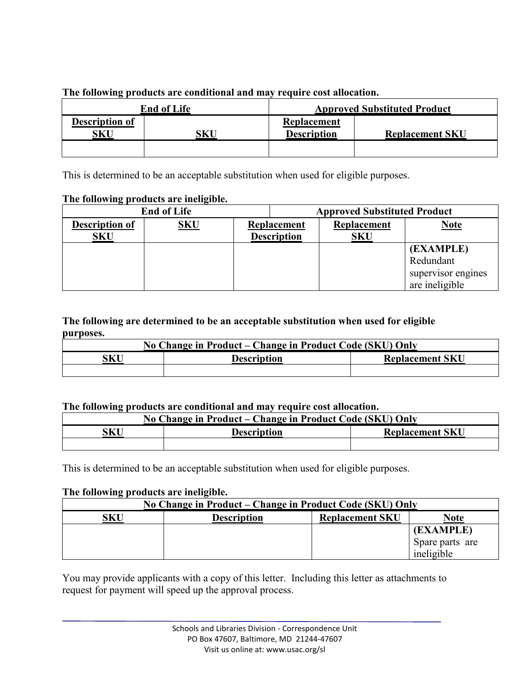| <b>End of Life</b>    |     | <b>Approved Substituted Product</b> |                        |  |
|-----------------------|-----|-------------------------------------|------------------------|--|
| Description of<br>SKU | SKU | Replacement<br><b>Description</b>   | <b>Replacement SKU</b> |  |
|                       |     |                                     |                        |  |

**The following products are conditional and may require cost allocation.**

This is determined to be an acceptable substitution when used for eligible purposes.

## **The following products are ineligible.**

| <b>End of Life</b>                  |            | <b>Approved Substituted Product</b>      |                           |                                                                |
|-------------------------------------|------------|------------------------------------------|---------------------------|----------------------------------------------------------------|
| <b>Description of</b><br><b>SKU</b> | <b>SKU</b> | <b>Replacement</b><br><b>Description</b> | Replacement<br><b>SKU</b> | <b>Note</b>                                                    |
|                                     |            |                                          |                           | (EXAMPLE)<br>Redundant<br>supervisor engines<br>are ineligible |

## **The following are determined to be an acceptable substitution when used for eligible purposes.**

| No Change in Product – Change in Product Code (SKU) Only |  |                        |  |
|----------------------------------------------------------|--|------------------------|--|
| SKU<br><b>Description</b>                                |  | <b>Replacement SKU</b> |  |
|                                                          |  |                        |  |

## **The following products are conditional and may require cost allocation.**

| No Change in Product – Change in Product Code (SKU) Only |                    |                        |  |  |
|----------------------------------------------------------|--------------------|------------------------|--|--|
| šKU                                                      | <b>Description</b> | <b>Replacement SKU</b> |  |  |
|                                                          |                    |                        |  |  |

This is determined to be an acceptable substitution when used for eligible purposes.

### **The following products are ineligible.**

| No Change in Product – Change in Product Code (SKU) Only |                    |                        |                 |
|----------------------------------------------------------|--------------------|------------------------|-----------------|
| SKU                                                      | <b>Description</b> | <b>Replacement SKU</b> | <b>Note</b>     |
|                                                          |                    |                        | (EXAMPLE)       |
|                                                          |                    |                        | Spare parts are |
|                                                          |                    |                        | ineligible      |

You may provide applicants with a copy of this letter. Including this letter as attachments to request for payment will speed up the approval process.